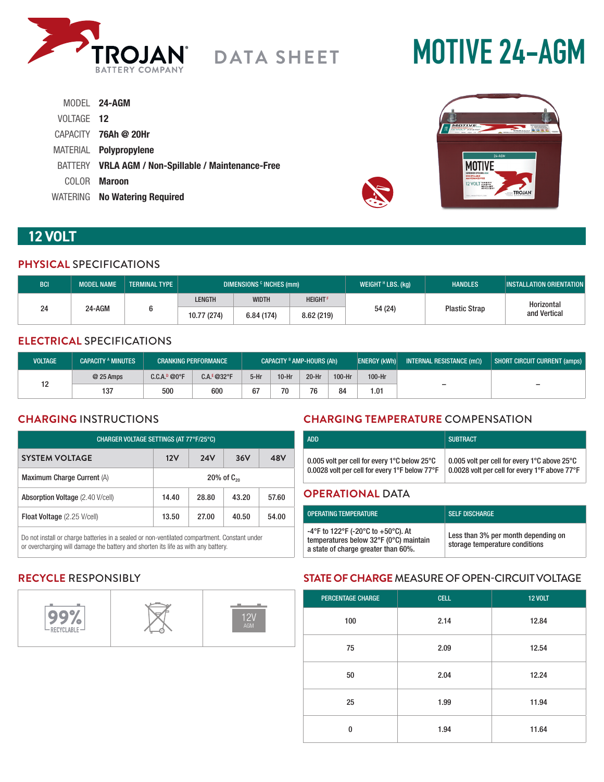

# **MOTIVE 24-AGM**

|            | MODEL 24-AGM                                        |
|------------|-----------------------------------------------------|
| VOLTAGE 12 |                                                     |
|            | CAPACITY <b>76Ah @ 20Hr</b>                         |
|            | MATERIAL <b>Polypropylene</b>                       |
|            | BATTERY VRLA AGM / Non-Spillable / Maintenance-Free |
|            | COLOR <b>Maroon</b>                                 |
|            | WATERING No Watering Required                       |



# **12 VOLT**

# **PHYSICAL** SPECIFICATIONS

| <b>BCI</b>   | <b>MODEL NAME</b> | <b>TERMINAL TYPE</b> | DIMENSIONS <sup>c</sup> INCHES (mm) |                |         | WEIGHT $H$ LBS. (kg) | <b>HANDLES</b> | <b>INSTALLATION ORIENTATION</b> |
|--------------|-------------------|----------------------|-------------------------------------|----------------|---------|----------------------|----------------|---------------------------------|
| 24<br>24-AGM |                   | LENGTH               | <b>WIDTH</b>                        | <b>HEIGHTF</b> |         |                      | Horizontal     |                                 |
|              |                   | 10.77 (274)          | 6.84(174)                           | 8.62(219)      | 54 (24) | <b>Plastic Strap</b> | and Vertical   |                                 |

# **ELECTRICAL** SPECIFICATIONS

| <b>VOLTAGE</b> | <b>CAPACITY A MINUTES</b> |                          | <b>CRANKING PERFORMANCE</b> |        | CAPACITY <sup>B</sup> AMP-HOURS (Ah) |       |        | <b>ENERGY (kWh)</b> | INTERNAL RESISTANCE $(m\Omega)$ | SHORT CIRCUIT CURRENT (amps) |
|----------------|---------------------------|--------------------------|-----------------------------|--------|--------------------------------------|-------|--------|---------------------|---------------------------------|------------------------------|
| 1 ^            | $@25$ Amps                | C.C.A. <sup>D</sup> @0°F | $C.A.E@32^{\circ}F$         | $5-Hr$ | $10-Hr$                              | 20-Hr | 100-Hr | 100-Hr              |                                 |                              |
|                | 137                       | 500                      | 600                         | 67     | 70                                   | 76    | 84     | 1.01                | -                               | $\overline{\phantom{0}}$     |

# **CHARGING** INSTRUCTIONS

| CHARGER VOLTAGE SETTINGS (AT 77°F/25°C) |                          |       |       |       |  |
|-----------------------------------------|--------------------------|-------|-------|-------|--|
| <b>SYSTEM VOLTAGE</b>                   | 12V<br><b>24V</b><br>36V |       |       | 48V   |  |
| Maximum Charge Current (A)              | $20\%$ of $C_{20}$       |       |       |       |  |
| <b>Absorption Voltage</b> (2.40 V/cell) | 14.40                    | 28.80 | 43.20 | 57.60 |  |
| <b>Float Voltage</b> (2.25 V/cell)      | 13.50                    | 27.00 | 40.50 | 54.00 |  |

Do not install or charge batteries in a sealed or non-ventilated compartment. Constant under or overcharging will damage the battery and shorten its life as with any battery.

# **CHARGING TEMPERATURE** COMPENSATION

| <b>ADD</b>                                                                                                          | <b>SUBTRACT</b>                                                                               |
|---------------------------------------------------------------------------------------------------------------------|-----------------------------------------------------------------------------------------------|
| 0.005 volt per cell for every 1 $^{\circ}$ C below 25 $^{\circ}$ C<br>0.0028 volt per cell for every 1°F below 77°F | 0.005 volt per cell for every 1°C above 25°C<br>0.0028 volt per cell for every 1°F above 77°F |
|                                                                                                                     |                                                                                               |

### **OPERATIONAL** DATA

| OPERATING TEMPERATURE                                                                                               | <b>SELF DISCHARGE</b>                                                 |
|---------------------------------------------------------------------------------------------------------------------|-----------------------------------------------------------------------|
| -4°F to 122°F (-20°C to +50°C). At<br>temperatures below 32°F (0°C) maintain<br>a state of charge greater than 60%. | Less than 3% per month depending on<br>storage temperature conditions |

# **RECYCLE** RESPONSIBLY



# **STATE OF CHARGE** MEASURE OF OPEN-CIRCUIT VOLTAGE

| <b>PERCENTAGE CHARGE</b> | <b>CELL</b> | <b>12 VOLT</b> |
|--------------------------|-------------|----------------|
| 100                      | 2.14        | 12.84          |
| 75                       | 2.09        | 12.54          |
| 50                       | 2.04        | 12.24          |
| 25                       | 1.99        | 11.94          |
| $\bf{0}$                 | 1.94        | 11.64          |